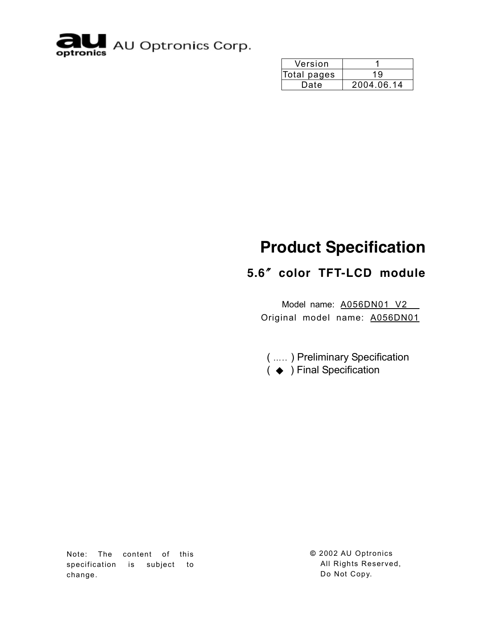

| Version     |            |  |  |
|-------------|------------|--|--|
| Total pages | 19         |  |  |
| Date        | 2004.06.14 |  |  |

# **Product Specification**

## **5.6**〞**color TFT-LCD module**

Model name: A056DN01 V2 Original model name: A056DN01

( ….. ) Preliminary Specification ( ◆ ) Final Specification

Note: The content of this specification is subject to change.

**©** 2002 AU Optronics All Rights Reserved, Do Not Copy.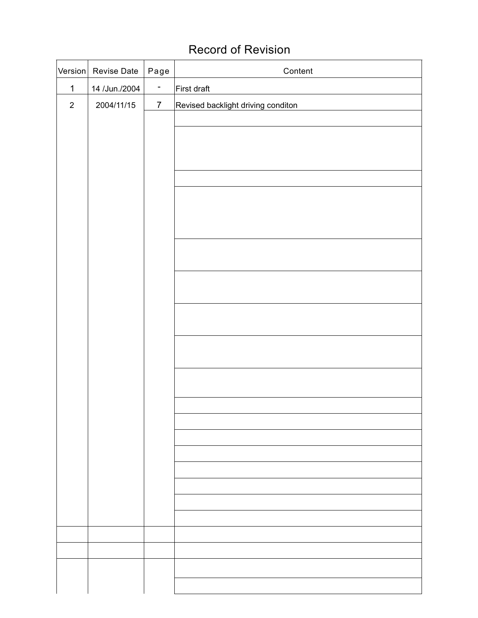# Record of Revision

| Version        | Revise Date   | Page                     | Content                            |
|----------------|---------------|--------------------------|------------------------------------|
| $\mathbf 1$    | 14 /Jun./2004 | $\overline{\phantom{a}}$ | First draft                        |
| $\overline{2}$ | 2004/11/15    | $\overline{7}$           | Revised backlight driving conditon |
|                |               |                          |                                    |
|                |               |                          |                                    |
|                |               |                          |                                    |
|                |               |                          |                                    |
|                |               |                          |                                    |
|                |               |                          |                                    |
|                |               |                          |                                    |
|                |               |                          |                                    |
|                |               |                          |                                    |
|                |               |                          |                                    |
|                |               |                          |                                    |
|                |               |                          |                                    |
|                |               |                          |                                    |
|                |               |                          |                                    |
|                |               |                          |                                    |
|                |               |                          |                                    |
|                |               |                          |                                    |
|                |               |                          |                                    |
|                |               |                          |                                    |
|                |               |                          |                                    |
|                |               |                          |                                    |
|                |               |                          |                                    |
|                |               |                          |                                    |
|                |               |                          |                                    |
|                |               |                          |                                    |
|                |               |                          |                                    |
|                |               |                          |                                    |
|                |               |                          |                                    |
|                |               |                          |                                    |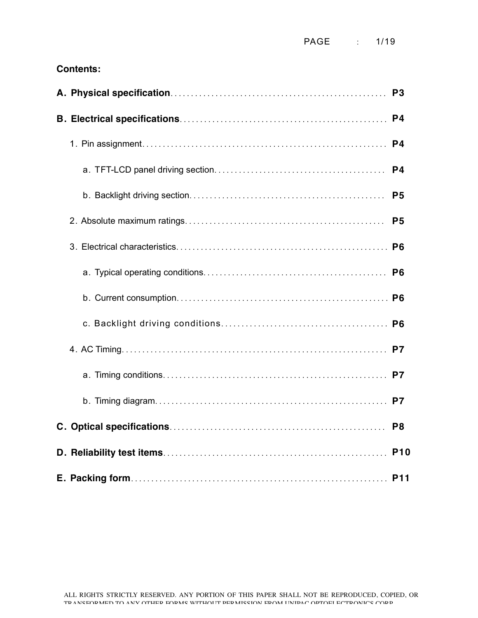| <b>Contents:</b> |
|------------------|
|------------------|

|  | P <sub>3</sub> |
|--|----------------|
|  | P <sub>4</sub> |
|  | P <sub>4</sub> |
|  | P <sub>4</sub> |
|  | P <sub>5</sub> |
|  | <b>P5</b>      |
|  | P <sub>6</sub> |
|  |                |
|  |                |
|  | P <sub>6</sub> |
|  |                |
|  | P7             |
|  |                |
|  | P <sub>8</sub> |
|  |                |
|  |                |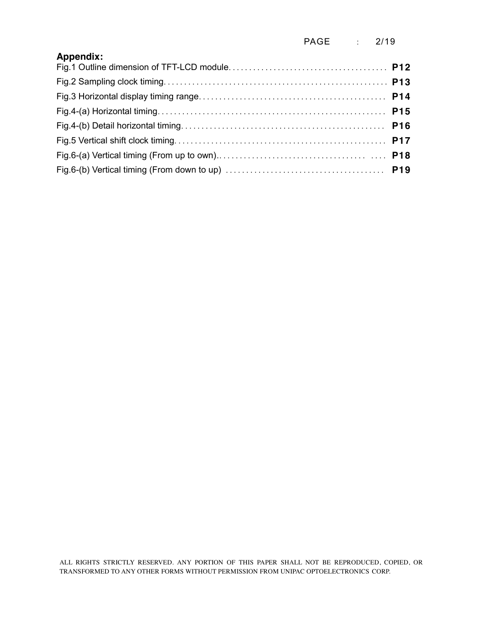| Appendix: |  |
|-----------|--|
|           |  |
|           |  |
|           |  |
|           |  |
|           |  |
|           |  |
|           |  |
|           |  |
|           |  |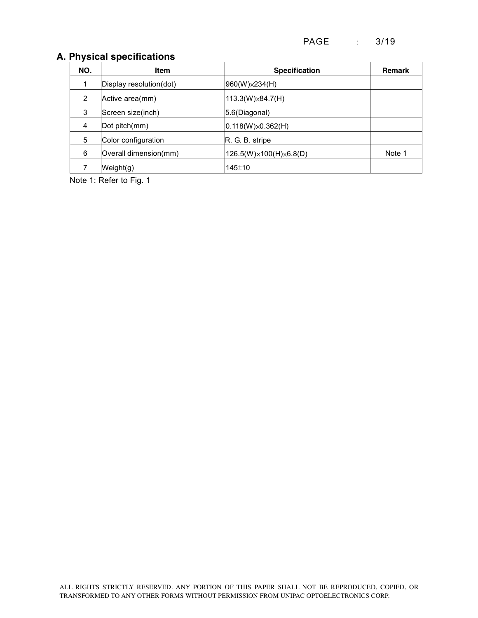### **A. Physical specifications**

| NO. | <b>Item</b>             | <b>Specification</b>      | <b>Remark</b> |
|-----|-------------------------|---------------------------|---------------|
|     | Display resolution(dot) | $960(W)\times 234(H)$     |               |
| 2   | Active area(mm)         | $113.3(W)\times 84.7(H)$  |               |
| 3   | Screen size(inch)       | 5.6(Diagonal)             |               |
| 4   | Dot pitch(mm)           | $0.118(W)\times 0.362(H)$ |               |
| 5   | Color configuration     | $R. G. B.$ stripe         |               |
| 6   | Overall dimension(mm)   | 126.5(W)×100(H)×6.8(D)    | Note 1        |
|     | Weight(g)               | 145±10                    |               |

Note 1: Refer to Fig. 1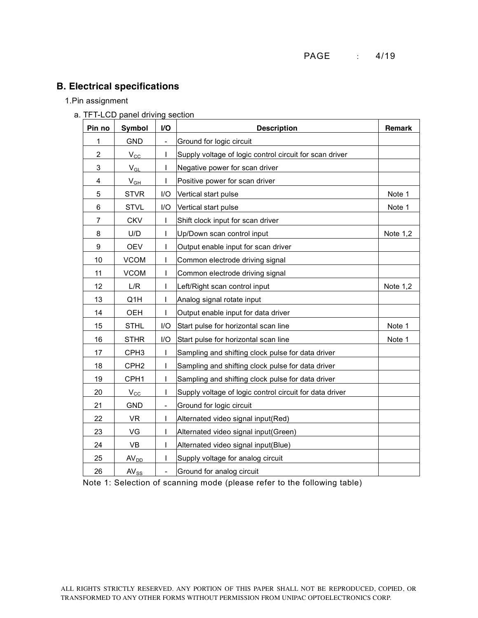### **B. Electrical specifications**

### 1.Pin assignment

a. TFT-LCD panel driving section

| Pin no | Symbol           | V <sub>O</sub>           | <b>Description</b>                                      | Remark          |
|--------|------------------|--------------------------|---------------------------------------------------------|-----------------|
| 1      | <b>GND</b>       | $\overline{\phantom{0}}$ | Ground for logic circuit                                |                 |
| 2      | $V_{\rm CC}$     | T                        | Supply voltage of logic control circuit for scan driver |                 |
| 3      | $V_{GL}$         | T                        | Negative power for scan driver                          |                 |
| 4      | $V_{GH}$         | L                        | Positive power for scan driver                          |                 |
| 5      | <b>STVR</b>      | I/O                      | Vertical start pulse                                    | Note 1          |
| 6      | <b>STVL</b>      | I/O                      | Vertical start pulse                                    | Note 1          |
| 7      | <b>CKV</b>       | I                        | Shift clock input for scan driver                       |                 |
| 8      | U/D              | I                        | Up/Down scan control input                              | Note $1,2$      |
| 9      | <b>OEV</b>       | L                        | Output enable input for scan driver                     |                 |
| 10     | <b>VCOM</b>      | ı                        | Common electrode driving signal                         |                 |
| 11     | <b>VCOM</b>      | I                        | Common electrode driving signal                         |                 |
| 12     | L/R              | I                        | Left/Right scan control input                           | <b>Note 1,2</b> |
| 13     | Q1H              | I                        | Analog signal rotate input                              |                 |
| 14     | OEH              | I                        | Output enable input for data driver                     |                 |
| 15     | <b>STHL</b>      | I/O                      | Start pulse for horizontal scan line                    | Note 1          |
| 16     | <b>STHR</b>      | I/O                      | Start pulse for horizontal scan line                    | Note 1          |
| 17     | CPH <sub>3</sub> | I                        | Sampling and shifting clock pulse for data driver       |                 |
| 18     | CPH <sub>2</sub> | I                        | Sampling and shifting clock pulse for data driver       |                 |
| 19     | CPH <sub>1</sub> | I                        | Sampling and shifting clock pulse for data driver       |                 |
| 20     | $V_{\rm CC}$     | T                        | Supply voltage of logic control circuit for data driver |                 |
| 21     | <b>GND</b>       | $\overline{\phantom{0}}$ | Ground for logic circuit                                |                 |
| 22     | <b>VR</b>        | I                        | Alternated video signal input(Red)                      |                 |
| 23     | VG               | I                        | Alternated video signal input(Green)                    |                 |
| 24     | <b>VB</b>        | I                        | Alternated video signal input(Blue)                     |                 |
| 25     | AV <sub>DD</sub> | T                        | Supply voltage for analog circuit                       |                 |
| 26     | $AV_{SS}$        | $\overline{\phantom{0}}$ | Ground for analog circuit                               |                 |

Note 1: Selection of scanning mode (please refer to the following table)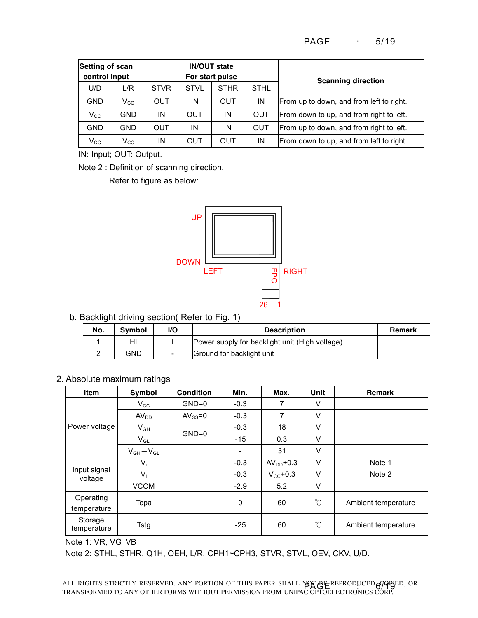| Setting of scan<br>control input |              |             |             | <b>IN/OUT state</b><br>For start pulse |             | <b>Scanning direction</b>                |  |  |
|----------------------------------|--------------|-------------|-------------|----------------------------------------|-------------|------------------------------------------|--|--|
| U/D                              | L/R          | <b>STVR</b> | <b>STVL</b> | <b>STHR</b>                            | <b>STHL</b> |                                          |  |  |
| <b>GND</b>                       | $V_{\rm CC}$ | OUT         | IN          | OUT                                    | IN          | From up to down, and from left to right. |  |  |
| $V_{\rm CC}$                     | <b>GND</b>   | IN          | <b>OUT</b>  | IN                                     | <b>OUT</b>  | From down to up, and from right to left. |  |  |
| <b>GND</b>                       | <b>GND</b>   | OUT         | ΙN          | ΙN                                     | <b>OUT</b>  | From up to down, and from right to left. |  |  |
| $V_{\rm CC}$                     | $V_{\rm CC}$ | IN          | OUT         | OUT                                    | IN          | From down to up, and from left to right. |  |  |

IN: Input; OUT: Output.

Note 2 : Definition of scanning direction.

Refer to figure as below:



b. Backlight driving section( Refer to Fig. 1)

| No. | Symbol | I/C                      | <b>Description</b>                             | Remark |
|-----|--------|--------------------------|------------------------------------------------|--------|
|     | HI     |                          | Power supply for backlight unit (High voltage) |        |
|     | GND    | $\overline{\phantom{0}}$ | Ground for backlight unit                      |        |

### 2. Absolute maximum ratings

| <b>Item</b>              | Symbol                     | Condition     | Min.                     | Max.                 | Unit     | <b>Remark</b>       |
|--------------------------|----------------------------|---------------|--------------------------|----------------------|----------|---------------------|
|                          | $V_{\rm CC}$               | $GND=0$       | $-0.3$                   | 7                    | V        |                     |
|                          | AV <sub>DD</sub>           | $AV_{SS} = 0$ | $-0.3$                   | 7                    | $\vee$   |                     |
| Power voltage            | $V_{GH}$                   |               | $-0.3$                   | 18                   | V        |                     |
|                          | $\mathsf{V}_{\mathsf{GL}}$ | $GND=0$       | $-15$                    | 0.3                  | $\vee$   |                     |
|                          | $V_{GH}-V_{GL}$            |               | $\overline{\phantom{a}}$ | 31                   | $\vee$   |                     |
|                          | $V_i$                      |               | $-0.3$                   | $AVDD+0.3$           | $\vee$   | Note 1              |
| Input signal<br>voltage  | V <sub>1</sub>             |               | $-0.3$                   | $V_{\text{CC}}$ +0.3 | V        | Note 2              |
|                          | <b>VCOM</b>                |               | $-2.9$                   | 5.2                  | $\vee$   |                     |
| Operating<br>temperature | Topa                       |               | 0                        | 60                   | $\rm{C}$ | Ambient temperature |
| Storage<br>temperature   | Tstg                       |               | $-25$                    | 60                   | $\rm{C}$ | Ambient temperature |

### Note 1: VR, VG, VB

Note 2: STHL, STHR, Q1H, OEH, L/R, CPH1~CPH3, STVR, STVL, OEV, CKV, U/D.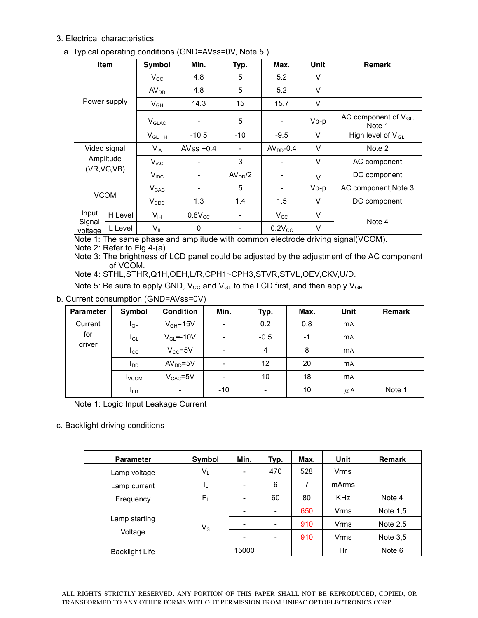### 3. Electrical characteristics

a. Typical operating conditions (GND=AVss=0V, Note 5 )

|                   | <b>Item</b>  | Symbol           | Min.        | Typ.                | Max.                     | Unit   | Remark                             |  |
|-------------------|--------------|------------------|-------------|---------------------|--------------------------|--------|------------------------------------|--|
|                   |              | $V_{\rm CC}$     | 4.8         | 5                   | 5.2                      | V      |                                    |  |
|                   |              | $AV_{DD}$        | 4.8         | 5                   | 5.2                      | V      |                                    |  |
|                   | Power supply | $V_{GH}$         | 14.3        | 15                  | 15.7                     | V      |                                    |  |
|                   |              | $V_{GLAC}$       |             | 5                   | $\overline{\phantom{a}}$ | $Vp-p$ | AC component of $V_{GL}$<br>Note 1 |  |
|                   |              | $V_{GL-H}$       | $-10.5$     | $-10$               | $-9.5$                   | V      | High level of $V_{GL}$             |  |
|                   | Video signal | $V_{iA}$         | AVss $+0.4$ | ۰                   | $AVDD-0.4$               | $\vee$ | Note 2                             |  |
|                   | Amplitude    | $V_{iAC}$        |             | 3                   |                          | V      | AC component                       |  |
| (VR, VG, VB)      |              | $V_{\text{IDC}}$ |             | AV <sub>DD</sub> /2 | $\overline{\phantom{a}}$ | $\vee$ | DC component                       |  |
| <b>VCOM</b>       |              | V <sub>CAC</sub> |             | 5                   |                          | $Vp-p$ | AC component, Note 3               |  |
|                   |              | $V_{CDC}$        | 1.3         | 1.4                 | 1.5                      | $\vee$ | DC component                       |  |
| Input             | H Level      | V <sub>IH</sub>  | $0.8V_{CC}$ | -                   | $V_{\rm CC}$             | V      |                                    |  |
| Signal<br>voltage | L Level      | $V_{IL}$         | 0           |                     | $0.2V_{CC}$              | V      | Note 4                             |  |

Note 1: The same phase and amplitude with common electrode driving signal(VCOM).

Note 2: Refer to Fig.4-(a)

Note 3: The brightness of LCD panel could be adjusted by the adjustment of the AC component of VCOM.

Note 4: STHL,STHR,Q1H,OEH,L/R,CPH1~CPH3,STVR,STVL,OEV,CKV,U/D.

Note 5: Be sure to apply GND,  $V_{CC}$  and  $V_{GL}$  to the LCD first, and then apply  $V_{GH}$ .

b. Current consumption (GND=AVss=0V)

| <b>Parameter</b> | Symbol                 | <b>Condition</b> | Min.                     | Typ.                     | Max. | Unit       | <b>Remark</b> |
|------------------|------------------------|------------------|--------------------------|--------------------------|------|------------|---------------|
| Current          | I <sub>GH</sub>        | $V_{GH} = 15V$   | $\overline{\phantom{a}}$ | 0.2                      | 0.8  | <b>m</b> A |               |
| for              | l <sub>GL</sub>        | $V_{GL} = -10V$  | $\overline{\phantom{0}}$ | $-0.5$                   | -1   | <b>MA</b>  |               |
| driver           | $_{\rm{lcc}}$          | $V_{CC} = 5V$    | $\overline{\phantom{0}}$ | 4                        | 8    | <b>MA</b>  |               |
|                  | <b>I</b> <sub>DD</sub> | $AVDD=5V$        | $\overline{\phantom{0}}$ | $12 \overline{ }$        | 20   | <b>MA</b>  |               |
|                  | <b>I</b> VCOM          | $V_{CAC} = 5V$   |                          | 10                       | 18   | <b>MA</b>  |               |
|                  | $I_{L11}$              | ٠                | $-10$                    | $\overline{\phantom{a}}$ | 10   | $\mu$ A    | Note 1        |

Note 1: Logic Input Leakage Current

### c. Backlight driving conditions

| <b>Parameter</b>         | Symbol      | Min.                     | Typ.                     | Max. | Unit       | <b>Remark</b> |
|--------------------------|-------------|--------------------------|--------------------------|------|------------|---------------|
| Lamp voltage             | $V_L$       | $\overline{\phantom{a}}$ | 470                      | 528  | Vrms       |               |
| Lamp current             | IL.         | -                        | 6                        | 7    | mArms      |               |
| Frequency                | $F_L$       | $\overline{\phantom{0}}$ | 60                       | 80   | <b>KHz</b> | Note 4        |
| Lamp starting<br>Voltage |             | $\overline{\phantom{0}}$ | $\overline{\phantom{a}}$ | 650  | Vrms       | Note $1,5$    |
|                          | $V_{\rm S}$ | $\overline{\phantom{0}}$ | $\overline{\phantom{a}}$ | 910  | Vrms       | Note $2,5$    |
|                          |             | $\overline{\phantom{0}}$ | $\overline{\phantom{a}}$ | 910  | Vrms       | Note $3,5$    |
| <b>Backlight Life</b>    |             | 15000                    |                          |      | Hr         | Note 6        |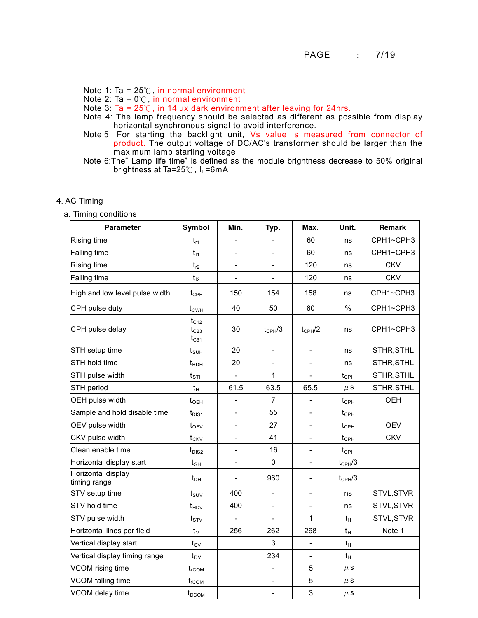- Note 1: Ta = 25℃, in normal environment
- Note 2: Ta = 0 $\degree$ C, in normal environment

Note 3: Ta = 25℃, in 14lux dark environment after leaving for 24hrs.

- Note 4: The lamp frequency should be selected as different as possible from display horizontal synchronous signal to avoid interference.
- Note 5: For starting the backlight unit, Vs value is measured from connector of product. The output voltage of DC/AC's transformer should be larger than the maximum lamp starting voltage.
- Note 6:The" Lamp life time" is defined as the module brightness decrease to 50% original brightness at Ta=25℃, I<sub>L</sub>=6mA

|  | 4. AC Timing |
|--|--------------|
|  |              |

a. Timing conditions

| Parameter                          | <b>Symbol</b>                       | Min.                     | Typ.                     | Max.                         | Unit.            | Remark     |
|------------------------------------|-------------------------------------|--------------------------|--------------------------|------------------------------|------------------|------------|
| Rising time                        | $t_{r1}$                            |                          |                          | 60                           | ns               | CPH1~CPH3  |
| Falling time                       | $t_{f1}$                            | $\frac{1}{2}$            | $\overline{a}$           | 60                           | ns               | CPH1~CPH3  |
| Rising time                        | $t_{r2}$                            | $\overline{\phantom{0}}$ | $\overline{\phantom{0}}$ | 120                          | ns               | <b>CKV</b> |
| Falling time                       | $t_{f2}$                            | $\blacksquare$           | $\blacksquare$           | 120                          | ns               | <b>CKV</b> |
| High and low level pulse width     | $t_{\text{CPH}}$                    | 150                      | 154                      | 158                          | ns               | CPH1~CPH3  |
| CPH pulse duty                     | $t_{CWH}$                           | 40                       | 50                       | 60                           | $\frac{0}{0}$    | CPH1~CPH3  |
| CPH pulse delay                    | $t_{C12}$<br>$t_{C23}$<br>$t_{C31}$ | 30                       | $t_{\text{CPH}}/3$       | $t_{CPH}$ /2                 | ns               | CPH1~CPH3  |
| STH setup time                     | $t_{\scriptscriptstyle\text{SUH}}$  | 20                       | $\overline{a}$           | ÷,                           | ns               | STHR, STHL |
| STH hold time                      | $t_{HDH}$                           | 20                       | $\overline{\phantom{0}}$ | ÷,                           | ns               | STHR, STHL |
| STH pulse width                    | $t_{\scriptscriptstyle\text{STH}}$  | $\frac{1}{2}$            | $\mathbf{1}$             |                              | $t_{\text{CPH}}$ | STHR, STHL |
| STH period                         | $t_{H}$                             | 61.5                     | 63.5                     | 65.5                         | $\mu$ S          | STHR, STHL |
| OEH pulse width                    | $t_{\text{OEH}}$                    | $\overline{\phantom{a}}$ | $\overline{7}$           | $\overline{\phantom{a}}$     | $t_{\text{CPH}}$ | <b>OEH</b> |
| Sample and hold disable time       | $t_{\text{DIS1}}$                   | $\overline{a}$           | 55                       | $\overline{\phantom{a}}$     | $t_{\text{CPH}}$ |            |
| OEV pulse width                    | $t_{\rm OEV}$                       | $\overline{\phantom{0}}$ | 27                       | $\overline{\phantom{a}}$     | $t_{\text{CPH}}$ | <b>OEV</b> |
| CKV pulse width                    | $t_{CKV}$                           | $\overline{a}$           | 41                       |                              | $t_{\text{CPH}}$ | <b>CKV</b> |
| Clean enable time                  | t <sub>DIS2</sub>                   | $\overline{a}$           | 16                       |                              | $t_{\text{CPH}}$ |            |
| Horizontal display start           | $t_{\sf SH}$                        | $\overline{a}$           | 0                        |                              | $t_{CPH}/3$      |            |
| Horizontal display<br>timing range | $t_{DH}$                            |                          | 960                      |                              | $t_{CPH}/3$      |            |
| STV setup time                     | $t_{\text{SUV}}$                    | 400                      | $\overline{a}$           |                              | ns               | STVL, STVR |
| STV hold time                      | $t_{HDV}$                           | 400                      | $\overline{\phantom{0}}$ | $\qquad \qquad \blacksquare$ | ns               | STVL, STVR |
| STV pulse width                    | $t_{\scriptstyle\text{STV}}$        | $\overline{a}$           | $\overline{a}$           | $\mathbf{1}$                 | $t_H$            | STVL, STVR |
| Horizontal lines per field         | $t_{\vee}$                          | 256                      | 262                      | 268                          | $t_{H}$          | Note 1     |
| Vertical display start             | $t_{\text{SV}}$                     |                          | 3                        |                              | $t_H$            |            |
| Vertical display timing range      | $t_{\text{DV}}$                     |                          | 234                      |                              | $t_H$            |            |
| VCOM rising time                   | $t_{rCOM}$                          |                          | $\blacksquare$           | 5                            | $\mu$ S          |            |
| VCOM falling time                  | $t_{fCOM}$                          |                          | $\overline{\phantom{0}}$ | 5                            | $\mu$ S          |            |
| VCOM delay time                    | t <sub>DCOM</sub>                   |                          | $\frac{1}{2}$            | 3                            | $\mu$ S          |            |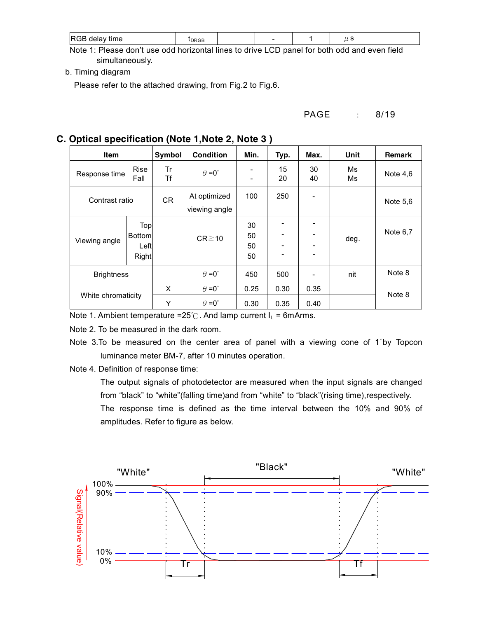| RGB delay time | ----<br>·DRGB | $\overline{\phantom{0}}$ |   | ົ   |  |
|----------------|---------------|--------------------------|---|-----|--|
| .<br>.         | .             | $\sim$ $\sim$ $\sim$     | . | . . |  |

Note 1: Please don't use odd horizontal lines to drive LCD panel for both odd and even field simultaneously.

### b. Timing diagram

Please refer to the attached drawing, from Fig.2 to Fig.6.

### PAGE : 8/19

| <b>Item</b>        |                                       | Symbol    | <b>Condition</b>              | Min.                     | Typ.        | Max.     | Unit     | <b>Remark</b> |
|--------------------|---------------------------------------|-----------|-------------------------------|--------------------------|-------------|----------|----------|---------------|
| Response time      | Rise<br>Fall                          | Tr<br>Τf  | $\theta = 0^{\circ}$          | $\overline{\phantom{a}}$ | 15<br>20    | 30<br>40 | Ms<br>Ms | Note $4,6$    |
| Contrast ratio     |                                       | <b>CR</b> | At optimized<br>viewing angle | 100                      | 250         |          |          | Note $5,6$    |
| Viewing angle      | <b>Top</b><br>Bottom<br>Left<br>Right |           | $CR \ge 10$                   | 30<br>50<br>50<br>50     | -<br>-<br>- |          | deg.     | Note $6,7$    |
| <b>Brightness</b>  |                                       |           | $\theta = 0^{\circ}$          | 450                      | 500         |          | nit      | Note 8        |
| White chromaticity |                                       | X         | $\theta = 0^{\circ}$          | 0.25                     | 0.30        | 0.35     |          | Note 8        |
|                    |                                       | Υ         | $\theta = 0^{\circ}$          | 0.30                     | 0.35        | 0.40     |          |               |

### **C. Optical specification (Note 1,Note 2, Note 3 )**

Note 1. Ambient temperature =25°C. And lamp current  $I_L$  = 6mArms.

Note 2. To be measured in the dark room.

- Note 3. To be measured on the center area of panel with a viewing cone of  $1°$ by Topcon luminance meter BM-7, after 10 minutes operation.
- Note 4. Definition of response time:
	- The output signals of photodetector are measured when the input signals are changed from "black" to "white"(falling time)and from "white" to "black"(rising time),respectively.

The response time is defined as the time interval between the 10% and 90% of amplitudes. Refer to figure as below.

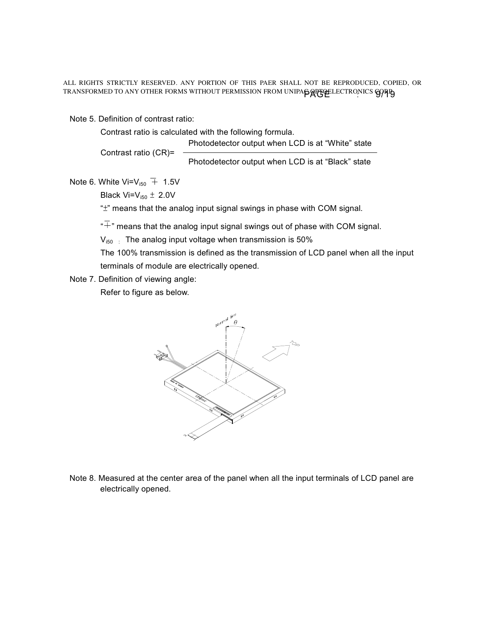TRANSFORMED TO ANY OTHER FORMS WITHOUT PERMISSION FROM UNIPA**S APTOL** LECTRONICS **GOILS** ALL RIGHTS STRICTLY RESERVED. ANY PORTION OF THIS PAER SHALL NOT BE REPRODUCED, COPIED, OR

Note 5. Definition of contrast ratio:

Contrast ratio is calculated with the following formula.

 Photodetector output when LCD is at "White" state Contrast ratio (CR)= Photodetector output when LCD is at "Black" state

Note 6. White Vi= $V_{150}$  + 1.5V

Black Vi= $V_{i50} \pm 2.0V$ 

"±" means that the analog input signal swings in phase with COM signal.

 $\overline{a}^*$  means that the analog input signal swings out of phase with COM signal.

 $V_{150}$  : The analog input voltage when transmission is 50%

The 100% transmission is defined as the transmission of LCD panel when all the input terminals of module are electrically opened.

Note 7. Definition of viewing angle:

Refer to figure as below.



Note 8. Measured at the center area of the panel when all the input terminals of LCD panel are electrically opened.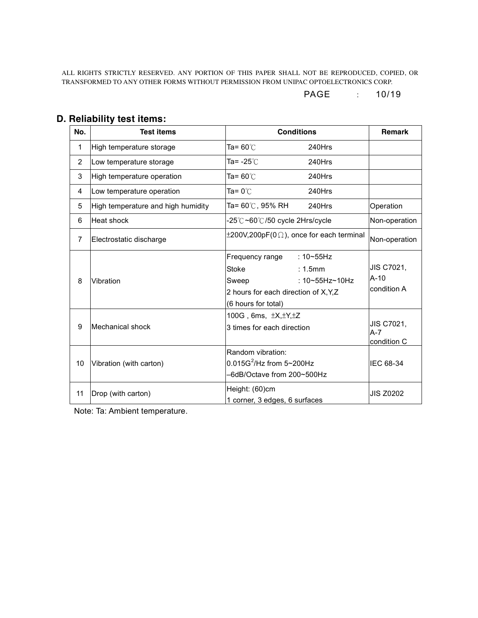ALL RIGHTS STRICTLY RESERVED. ANY PORTION OF THIS PAPER SHALL NOT BE REPRODUCED, COPIED, OR TRANSFORMED TO ANY OTHER FORMS WITHOUT PERMISSION FROM UNIPAC OPTOELECTRONICS CORP.

### PAGE : 10/19

| No.            | <b>Test items</b>                  | <b>Conditions</b>                                    | <b>Remark</b>          |               |
|----------------|------------------------------------|------------------------------------------------------|------------------------|---------------|
| 1              | High temperature storage           | Ta= $60^{\circ}$ C                                   | 240Hrs                 |               |
| $\overline{2}$ | Low temperature storage            | Ta= -25℃                                             | 240Hrs                 |               |
| 3              | High temperature operation         | Ta= 60 $\degree$ C                                   | 240Hrs                 |               |
| 4              | Low temperature operation          | Ta= $0^{\circ}$ C                                    | 240Hrs                 |               |
| 5              | High temperature and high humidity | Ta= 60℃, 95% RH                                      | 240Hrs                 | Operation     |
| 6              | <b>Heat shock</b>                  | -25℃~60℃/50 cycle 2Hrs/cycle                         |                        | Non-operation |
| $\overline{7}$ | Electrostatic discharge            | $\pm 200V, 200pF(0 \Omega)$ , once for each terminal |                        | Non-operation |
|                |                                    | Frequency range                                      | : $10 - 55$ Hz         |               |
|                | Vibration                          | Stoke                                                | : 1.5mm                | JIS C7021,    |
| 8              |                                    | Sweep                                                | : 10~55Hz~10Hz         | $A-10$        |
|                |                                    | 2 hours for each direction of X, Y, Z                | condition A            |               |
|                |                                    | (6 hours for total)                                  |                        |               |
|                |                                    | 100G, 6ms, $\pm X, \pm Y, \pm Z$                     |                        |               |
| 9              | Mechanical shock                   | 3 times for each direction                           | <b>JIS C7021,</b>      |               |
|                |                                    |                                                      | $A - 7$<br>condition C |               |
|                |                                    | Random vibration:                                    |                        |               |
| 10             | Vibration (with carton)            | $0.015G^2$ /Hz from 5~200Hz                          | IEC 68-34              |               |
|                |                                    | -6dB/Octave from 200~500Hz                           |                        |               |
| 11             | Drop (with carton)                 | Height: (60)cm                                       | <b>JIS Z0202</b>       |               |
|                |                                    | 1 corner, 3 edges, 6 surfaces                        |                        |               |

### **D. Reliability test items:**

Note: Ta: Ambient temperature.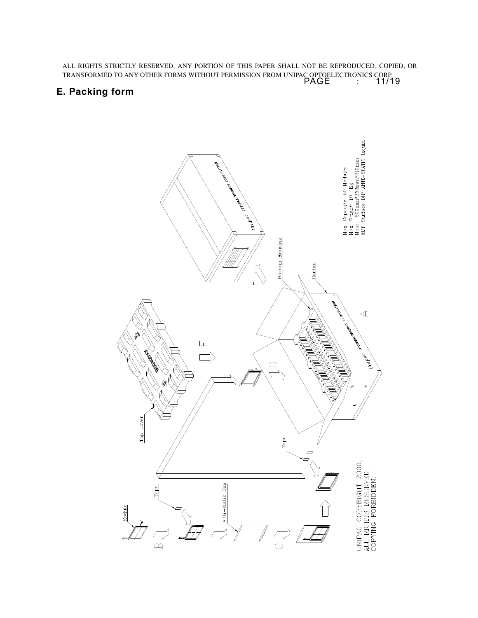PAGE : 11/19 TRANSFORMED TO ANY OTHER FORMS WITHOUT PERMISSION FROM UNIPAC OPTOELECTRONICS CORP.ALL RIGHTS STRICTLY RESERVED. ANY PORTION OF THIS PAPER SHALL NOT BE REPRODUCED, COPIED, OR

### **E. Packing form**

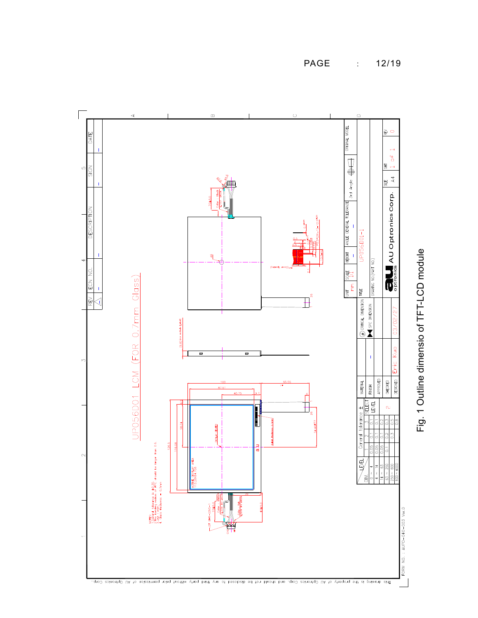

# Fig. 1 Outline dimensio of TFT-LCD module Fig. 1 Outline dimensio of TFT-LCD module

P A GE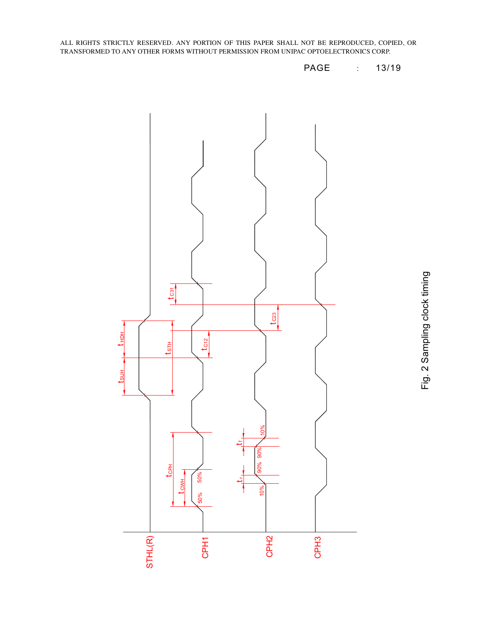ALL RIGHTS STRICTLY RESERVED. ANY PORTION OF THIS PAPER SHALL NOT BE REPRODUCED, COPIED, OR TRANSFORMED TO ANY OTHER FORMS WITHOUT PERMISSION FROM UNIPAC OPTOELECTRONICS CORP.





Fig. 2 <u>(</u> a Ξ plin g clo c k timin g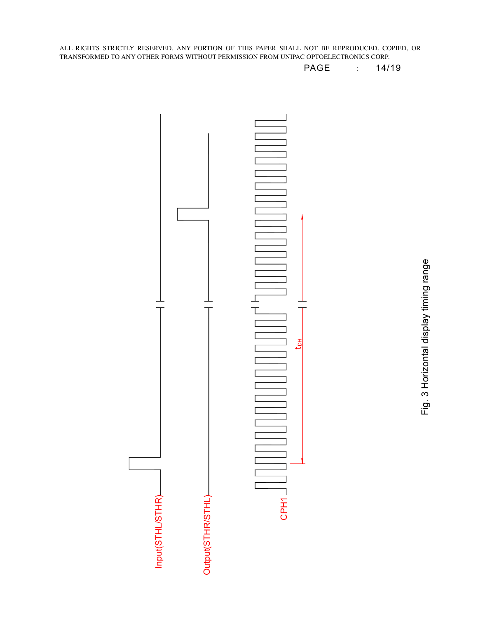ALL RIGHTS STRICTLY RESERVED. ANY PORTION OF THIS PAPER SHALL NOT BE REPRODUCED, COPIED, OR TRANSFORMED TO ANY OTHER FORMS WITHOUT PERMISSION FROM UNIPAC OPTOELECTRONICS CORP.

PAGE : 14/19



ო<br>Eig H oriz o ntal dis pla y timin g ra n ರಾ e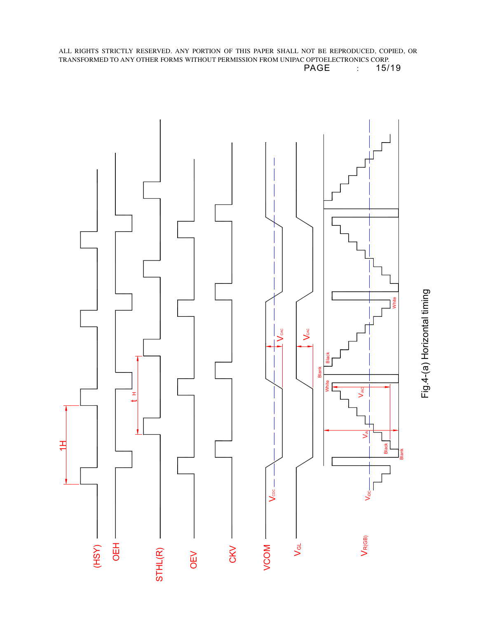PAGE : 15/19 ALL RIGHTS STRICTLY RESERVED. ANY PORTION OF THIS PAPER SHALL NOT BE REPRODUCED, COPIED, OR TRANSFORMED TO ANY OTHER FORMS WITHOUT PERMISSION FROM UNIPAC OPTOELECTRONICS CORP.



Fig.4-(a) H oriz o ntal timin ರಾ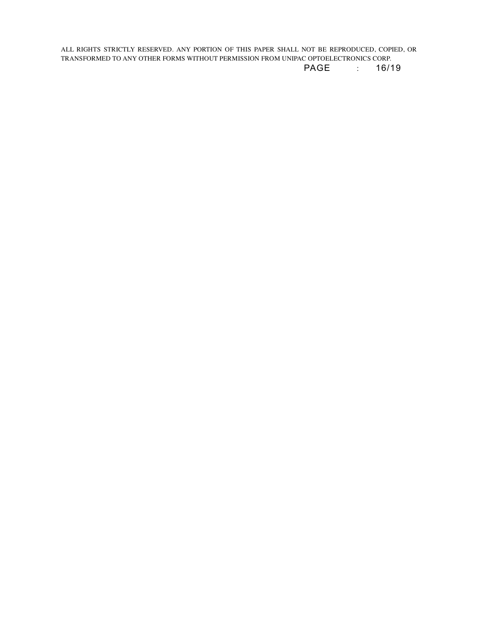PAGE : 16/19 ALL RIGHTS STRICTLY RESERVED. ANY PORTION OF THIS PAPER SHALL NOT BE REPRODUCED, COPIED, OR TRANSFORMED TO ANY OTHER FORMS WITHOUT PERMISSION FROM UNIPAC OPTOELECTRONICS CORP.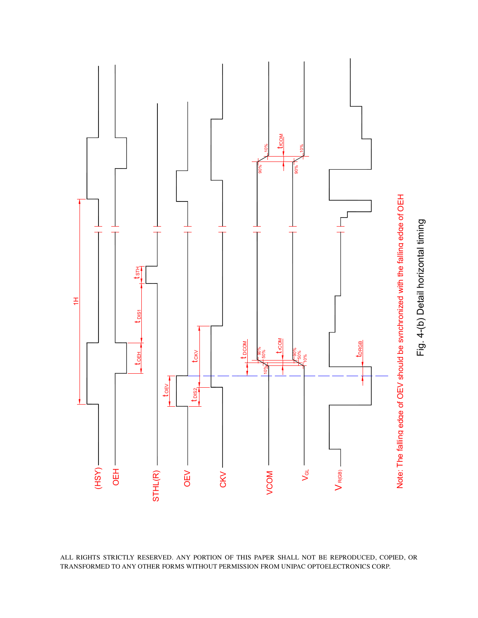

Fig. 4-(b) D etail h oriz o ntal timin

g

ALL RIGHTS STRICTLY RESERVED. ANY PORTION OF THIS PAPER SHALL NOT BE REPRODUCED, COPIED, OR TRANSFORMED TO ANY OTHER FORMS WITHOUT PERMISSION FROM UNIPAC OPTOELECTRONICS CORP.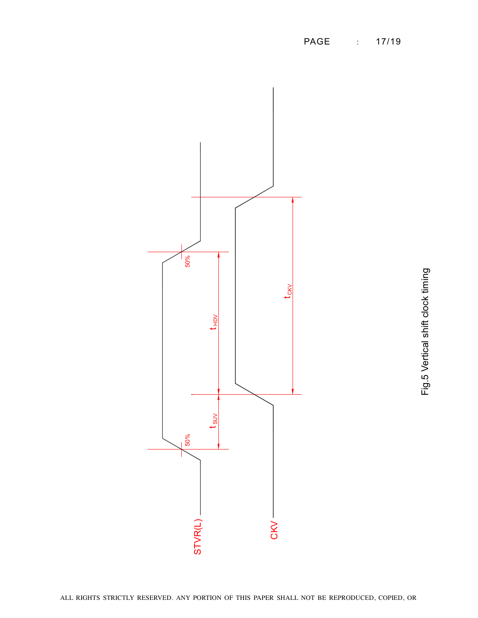

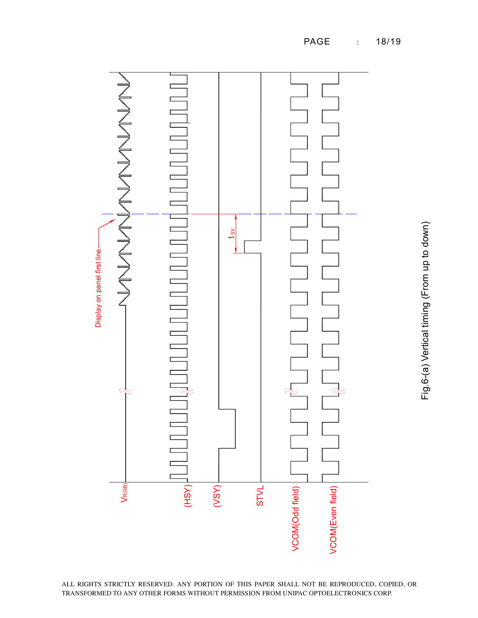

Fig.6-(a) Vertic al timin g (Fro ٤ コ p to ರ o w <u>ମ</u>